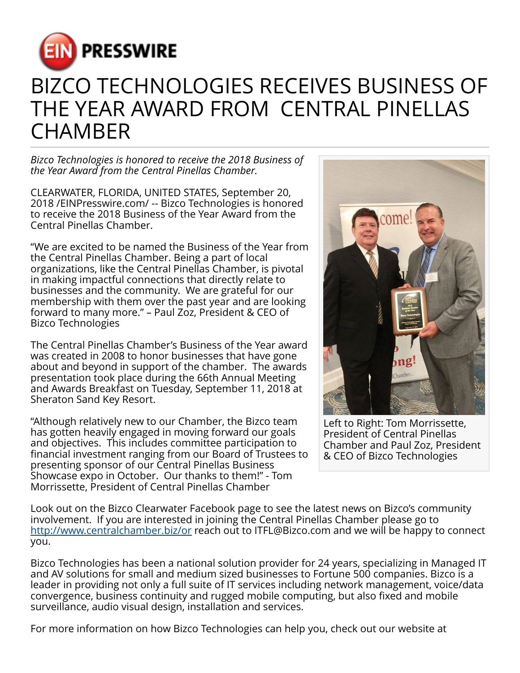

## BIZCO TECHNOLOGIES RECEIVES BUSINESS OF THE YEAR AWARD FROM CENTRAL PINELLAS **CHAMBER**

*Bizco Technologies is honored to receive the 2018 Business of the Year Award from the Central Pinellas Chamber.*

CLEARWATER, FLORIDA, UNITED STATES, September 20, 2018 /[EINPresswire.com](http://www.einpresswire.com)/ -- Bizco Technologies is honored to receive the 2018 Business of the Year Award from the Central Pinellas Chamber.

"We are excited to be named the Business of the Year from the Central Pinellas Chamber. Being a part of local organizations, like the Central Pinellas Chamber, is pivotal in making impactful connections that directly relate to businesses and the community. We are grateful for our membership with them over the past year and are looking forward to many more." – Paul Zoz, President & CEO of Bizco Technologies

The Central Pinellas Chamber's Business of the Year award was created in 2008 to honor businesses that have gone about and beyond in support of the chamber. The awards presentation took place during the 66th Annual Meeting and Awards Breakfast on Tuesday, September 11, 2018 at Sheraton Sand Key Resort.

"Although relatively new to our Chamber, the Bizco team has gotten heavily engaged in moving forward our goals and objectives. This includes committee participation to financial investment ranging from our Board of Trustees to presenting sponsor of our Central Pinellas Business Showcase expo in October. Our thanks to them!" - Tom Morrissette, President of Central Pinellas Chamber



Left to Right: Tom Morrissette, President of Central Pinellas Chamber and Paul Zoz, President & CEO of Bizco Technologies

Look out on the Bizco Clearwater Facebook page to see the latest news on Bizco's community involvement. If you are interested in joining the Central Pinellas Chamber please go to <http://www.centralchamber.biz/or>reach out to ITFL@Bizco.com and we will be happy to connect you.

Bizco Technologies has been a national solution provider for 24 years, specializing in Managed IT and AV solutions for small and medium sized businesses to Fortune 500 companies. Bizco is a leader in providing not only a full suite of IT services including network management, voice/data convergence, business continuity and rugged mobile computing, but also fixed and mobile surveillance, audio visual design, installation and services.

For more information on how Bizco Technologies can help you, check out our website at